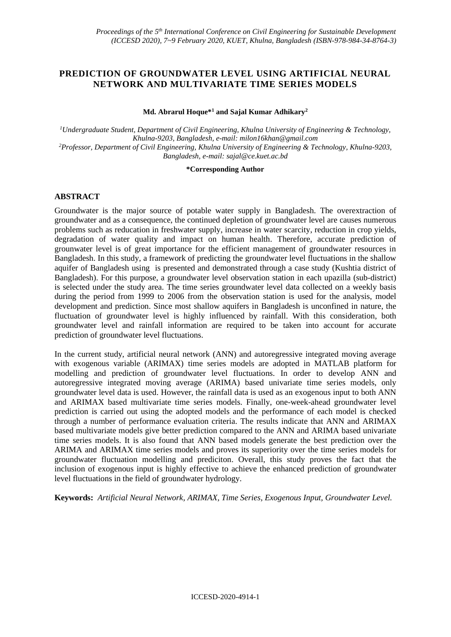## **PREDICTION OF GROUNDWATER LEVEL USING ARTIFICIAL NEURAL NETWORK AND MULTIVARIATE TIME SERIES MODELS**

**Md. Abrarul Hoque\*<sup>1</sup> and Sajal Kumar Adhikary<sup>2</sup>**

*<sup>1</sup>Undergraduate Student, Department of Civil Engineering, Khulna University of Engineering & Technology, Khulna-9203, Bangladesh, e-mail[: milon16khan@gmail.com](mailto:milon16khan@gmail.com) <sup>2</sup>Professor, Department of Civil Engineering, Khulna University of Engineering & Technology, Khulna-9203, Bangladesh, e-mail: [sajal@ce.kuet.ac.bd](mailto:sajal@ce.kuet.ac.bd)*

#### **\*Corresponding Author**

## **ABSTRACT**

Groundwater is the major source of potable water supply in Bangladesh. The overextraction of groundwater and as a consequence, the continued depletion of groundwater level are causes numerous problems such as reducation in freshwater supply, increase in water scarcity, reduction in crop yields, degradation of water quality and impact on human health. Therefore, accurate prediction of grounwater level is of great importance for the efficient management of groundwater resources in Bangladesh. In this study, a framework of predicting the groundwater level fluctuations in the shallow aquifer of Bangladesh using is presented and demonstrated through a case study (Kushtia district of Bangladesh). For this purpose, a groundwater level observation station in each upazilla (sub-district) is selected under the study area. The time series groundwater level data collected on a weekly basis during the period from 1999 to 2006 from the observation station is used for the analysis, model development and prediction. Since most shallow aquifers in Bangladesh is unconfined in nature, the fluctuation of groundwater level is highly influenced by rainfall. With this consideration, both groundwater level and rainfall information are required to be taken into account for accurate prediction of groundwater level fluctuations.

In the current study, artificial neural network (ANN) and autoregressive integrated moving average with exogenous variable (ARIMAX) time series models are adopted in MATLAB platform for modelling and prediction of groundwater level fluctuations. In order to develop ANN and autoregressive integrated moving average (ARIMA) based univariate time series models, only groundwater level data is used. However, the rainfall data is used as an exogenous input to both ANN and ARIMAX based multivariate time series models. Finally, one-week-ahead groundwater level prediction is carried out using the adopted models and the performance of each model is checked through a number of performance evaluation criteria. The results indicate that ANN and ARIMAX based multivariate models give better prediction compared to the ANN and ARIMA based univariate time series models. It is also found that ANN based models generate the best prediction over the ARIMA and ARIMAX time series models and proves its superiority over the time series models for groundwater fluctuation modelling and prediciton. Overall, this study proves the fact that the inclusion of exogenous input is highly effective to achieve the enhanced prediction of groundwater level fluctuations in the field of groundwater hydrology.

**Keywords:** *Artificial Neural Network, ARIMAX, Time Series, Exogenous Input, Groundwater Level.*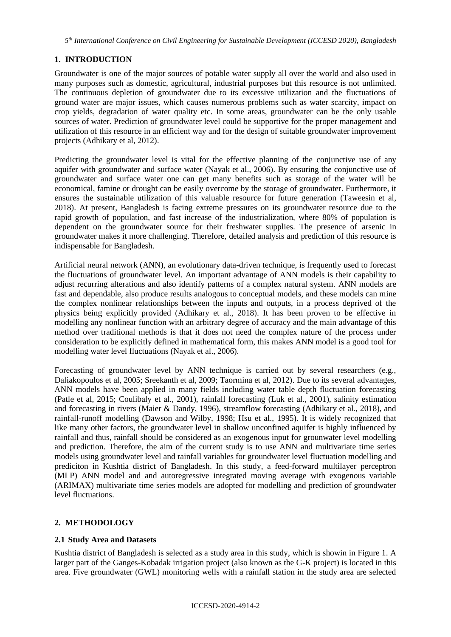*5 th International Conference on Civil Engineering for Sustainable Development (ICCESD 2020), Bangladesh*

## **1. INTRODUCTION**

Groundwater is one of the major sources of potable water supply all over the world and also used in many purposes such as domestic, agricultural, industrial purposes but this resource is not unlimited. The continuous depletion of groundwater due to its excessive utilization and the fluctuations of ground water are major issues, which causes numerous problems such as water scarcity, impact on crop yields, degradation of water quality etc. In some areas, groundwater can be the only usable sources of water. Prediction of groundwater level could be supportive for the proper management and utilization of this resource in an efficient way and for the design of suitable groundwater improvement projects (Adhikary et al, 2012).

Predicting the groundwater level is vital for the effective planning of the conjunctive use of any aquifer with groundwater and surface water (Nayak et al., 2006). By ensuring the conjunctive use of groundwater and surface water one can get many benefits such as storage of the water will be economical, famine or drought can be easily overcome by the storage of groundwater. Furthermore, it ensures the sustainable utilization of this valuable resource for future generation (Taweesin et al, 2018). At present, Bangladesh is facing extreme pressures on its groundwater resource due to the rapid growth of population, and fast increase of the industrialization, where 80% of population is dependent on the groundwater source for their freshwater supplies. The presence of arsenic in groundwater makes it more challenging. Therefore, detailed analysis and prediction of this resource is indispensable for Bangladesh.

Artificial neural network (ANN), an evolutionary data-driven technique, is frequently used to forecast the fluctuations of groundwater level. An important advantage of ANN models is their capability to adjust recurring alterations and also identify patterns of a complex natural system. ANN models are fast and dependable, also produce results analogous to conceptual models, and these models can mine the complex nonlinear relationships between the inputs and outputs, in a process deprived of the physics being explicitly provided (Adhikary et al., 2018). It has been proven to be effective in modelling any nonlinear function with an arbitrary degree of accuracy and the main advantage of this method over traditional methods is that it does not need the complex nature of the process under consideration to be explicitly defined in mathematical form, this makes ANN model is a good tool for modelling water level fluctuations (Nayak et al., 2006).

Forecasting of groundwater level by ANN technique is carried out by several researchers (e.g., Daliakopoulos et al, 2005; Sreekanth et al, 2009; Taormina et al, 2012). Due to its several advantages, ANN models have been applied in many fields including water table depth fluctuation forecasting (Patle et al, 2015; Coulibaly et al., 2001), rainfall forecasting (Luk et al., 2001), salinity estimation and forecasting in rivers (Maier & Dandy, 1996), streamflow forecasting (Adhikary et al., 2018), and rainfall-runoff modelling (Dawson and Wilby, 1998; Hsu et al., 1995). It is widely recognized that like many other factors, the groundwater level in shallow unconfined aquifer is highly influenced by rainfall and thus, rainfall should be considered as an exogenous input for grounwater level modelling and prediction. Therefore, the aim of the current study is to use ANN and multivariate time series models using groundwater level and rainfall variables for groundwater level fluctuation modelling and prediciton in Kushtia district of Bangladesh. In this study, a feed-forward multilayer perceptron (MLP) ANN model and and autoregressive integrated moving average with exogenous variable (ARIMAX) multivariate time series models are adopted for modelling and prediction of groundwater level fluctuations.

# **2. METHODOLOGY**

## **2.1 Study Area and Datasets**

Kushtia district of Bangladesh is selected as a study area in this study, which is showin in Figure 1. A larger part of the Ganges-Kobadak irrigation project (also known as the G-K project) is located in this area. Five groundwater (GWL) monitoring wells with a rainfall station in the study area are selected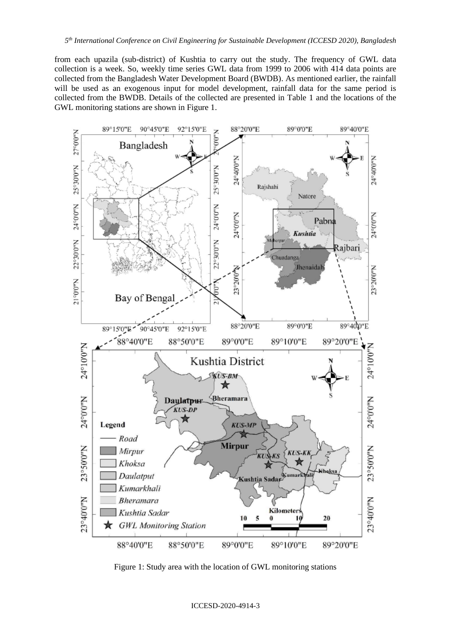from each upazila (sub-district) of Kushtia to carry out the study. The frequency of GWL data collection is a week. So, weekly time series GWL data from 1999 to 2006 with 414 data points are collected from the Bangladesh Water Development Board (BWDB). As mentioned earlier, the rainfall will be used as an exogenous input for model development, rainfall data for the same period is collected from the BWDB. Details of the collected are presented in Table 1 and the locations of the GWL monitoring stations are shown in Figure 1.



Figure 1: Study area with the location of GWL monitoring stations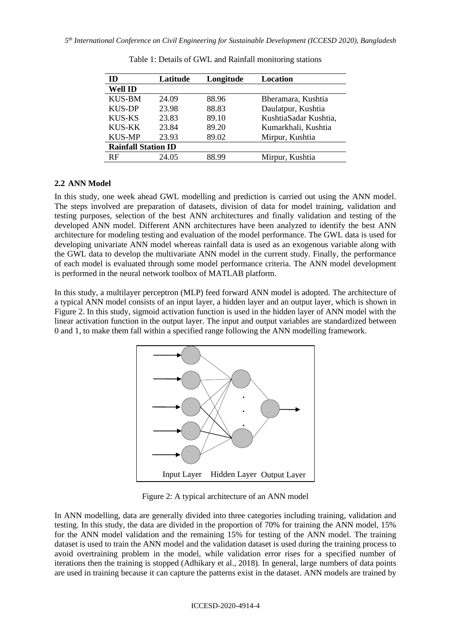| ID                         | Latitude | Longitude | Location              |  |  |
|----------------------------|----------|-----------|-----------------------|--|--|
| Well ID                    |          |           |                       |  |  |
| <b>KUS-BM</b>              | 24.09    | 88.96     | Bheramara, Kushtia    |  |  |
| <b>KUS-DP</b>              | 23.98    | 88.83     | Daulatpur, Kushtia    |  |  |
| KUS-KS                     | 23.83    | 89.10     | KushtiaSadar Kushtia, |  |  |
| <b>KUS-KK</b>              | 23.84    | 89.20     | Kumarkhali, Kushtia   |  |  |
| <b>KUS-MP</b>              | 23.93    | 89.02     | Mirpur, Kushtia       |  |  |
| <b>Rainfall Station ID</b> |          |           |                       |  |  |
| RF                         | 24.05    | 88.99     | Mirpur, Kushtia       |  |  |

Table 1: Details of GWL and Rainfall monitoring stations

## **2.2 ANN Model**

In this study, one week ahead GWL modelling and prediction is carried out using the ANN model. The steps involved are preparation of datasets, division of data for model training, validation and testing purposes, selection of the best ANN architectures and finally validation and testing of the developed ANN model. Different ANN architectures have been analyzed to identify the best ANN architecture for modeling testing and evaluation of the model performance. The GWL data is used for developing univariate ANN model whereas rainfall data is used as an exogenous variable along with the GWL data to develop the multivariate ANN model in the current study. Finally, the performance of each model is evaluated through some model performance criteria. The ANN model development is performed in the neural network toolbox of MATLAB platform.

In this study, a multilayer perceptron (MLP) feed forward ANN model is adopted. The architecture of a typical ANN model consists of an input layer, a hidden layer and an output layer, which is shown in Figure 2. In this study, sigmoid activation function is used in the hidden layer of ANN model with the linear activation function in the output layer. The input and output variables are standardized between 0 and 1, to make them fall within a specified range following the ANN modelling framework.



Figure 2: A typical architecture of an ANN model

In ANN modelling, data are generally divided into three categories including training, validation and testing. In this study, the data are divided in the proportion of 70% for training the ANN model, 15% for the ANN model validation and the remaining 15% for testing of the ANN model. The training dataset is used to train the ANN model and the validation dataset is used during the training process to avoid overtraining problem in the model, while validation error rises for a specified number of iterations then the training is stopped (Adhikary et al., 2018). In general, large numbers of data points are used in training because it can capture the patterns exist in the dataset. ANN models are trained by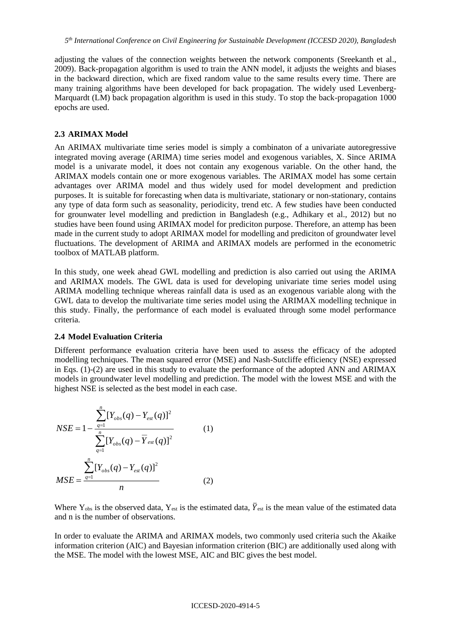adjusting the values of the connection weights between the network components (Sreekanth et al., 2009). Back-propagation algorithm is used to train the ANN model, it adjusts the weights and biases in the backward direction, which are fixed random value to the same results every time. There are many training algorithms have been developed for back propagation. The widely used Levenberg-Marquardt (LM) back propagation algorithm is used in this study. To stop the back-propagation 1000 epochs are used.

### **2.3 ARIMAX Model**

An ARIMAX multivariate time series model is simply a combinaton of a univariate autoregressive integrated moving average (ARIMA) time series model and exogenous variables, X. Since ARIMA model is a univarate model, it does not contain any exogenous variable. On the other hand, the ARIMAX models contain one or more exogenous variables. The ARIMAX model has some certain advantages over ARIMA model and thus widely used for model development and prediction purposes. It is suitable for forecasting when data is multivariate, stationary or non-stationary, contains any type of data form such as seasonality, periodicity, trend etc. A few studies have been conducted for grounwater level modelling and prediction in Bangladesh (e.g., Adhikary et al., 2012) but no studies have been found using ARIMAX model for prediciton purpose. Therefore, an attemp has been made in the current study to adopt ARIMAX model for modelling and prediciton of groundwater level fluctuations. The development of ARIMA and ARIMAX models are performed in the econometric toolbox of MATLAB platform.

In this study, one week ahead GWL modelling and prediction is also carried out using the ARIMA and ARIMAX models. The GWL data is used for developing univariate time series model using ARIMA modelling technique whereas rainfall data is used as an exogenous variable along with the GWL data to develop the multivariate time series model using the ARIMAX modelling technique in this study. Finally, the performance of each model is evaluated through some model performance criteria.

### **2.4 Model Evaluation Criteria**

Different performance evaluation criteria have been used to assess the efficacy of the adopted modelling techniques. The mean squared error (MSE) and Nash-Sutcliffe efficiency (NSE) expressed in Eqs. (1)-(2) are used in this study to evaluate the performance of the adopted ANN and ARIMAX models in groundwater level modelling and prediction. The model with the lowest MSE and with the highest NSE is selected as the best model in each case.

$$
NSE = 1 - \frac{\sum_{q=1}^{n} [Y_{obs}(q) - Y_{est}(q)]^{2}}{\sum_{q=1}^{n} [Y_{obs}(q) - \overline{Y}_{est}(q)]^{2}}
$$
(1)  

$$
MSE = \frac{\sum_{q=1}^{n} [Y_{obs}(q) - Y_{est}(q)]^{2}}{n}
$$
(2)

Where  $Y_{obs}$  is the observed data,  $Y_{est}$  is the estimated data,  $\bar{Y}_{est}$  is the mean value of the estimated data and n is the number of observations.

In order to evaluate the ARIMA and ARIMAX models, two commonly used criteria such the Akaike information criterion (AIC) and Bayesian information criterion (BIC) are additionally used along with the MSE. The model with the lowest MSE, AIC and BIC gives the best model.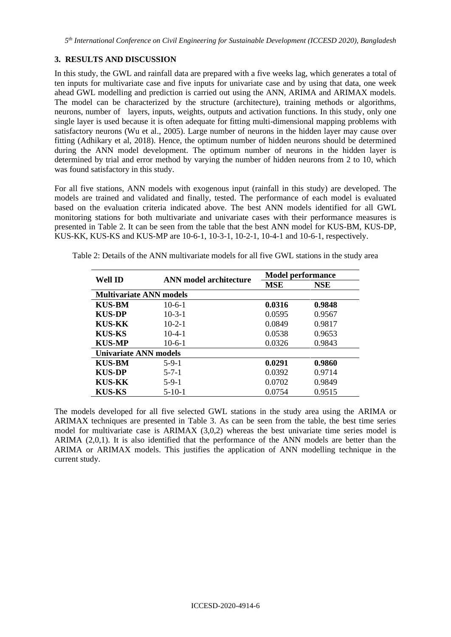## **3. RESULTS AND DISCUSSION**

In this study, the GWL and rainfall data are prepared with a five weeks lag, which generates a total of ten inputs for multivariate case and five inputs for univariate case and by using that data, one week ahead GWL modelling and prediction is carried out using the ANN, ARIMA and ARIMAX models. The model can be characterized by the structure (architecture), training methods or algorithms, neurons, number of layers, inputs, weights, outputs and activation functions. In this study, only one single layer is used because it is often adequate for fitting multi-dimensional mapping problems with satisfactory neurons (Wu et al., 2005). Large number of neurons in the hidden layer may cause over fitting (Adhikary et al, 2018). Hence, the optimum number of hidden neurons should be determined during the ANN model development. The optimum number of neurons in the hidden layer is determined by trial and error method by varying the number of hidden neurons from 2 to 10, which was found satisfactory in this study.

For all five stations, ANN models with exogenous input (rainfall in this study) are developed. The models are trained and validated and finally, tested. The performance of each model is evaluated based on the evaluation criteria indicated above. The best ANN models identified for all GWL monitoring stations for both multivariate and univariate cases with their performance measures is presented in Table 2. It can be seen from the table that the best ANN model for KUS-BM, KUS-DP, KUS-KK, KUS-KS and KUS-MP are 10-6-1, 10-3-1, 10-2-1, 10-4-1 and 10-6-1, respectively.

|                                |                               | <b>Model performance</b> |            |  |  |  |  |
|--------------------------------|-------------------------------|--------------------------|------------|--|--|--|--|
| Well ID                        | <b>ANN</b> model architecture | <b>MSE</b>               | <b>NSE</b> |  |  |  |  |
| <b>Multivariate ANN models</b> |                               |                          |            |  |  |  |  |
| <b>KUS-BM</b>                  | $10-6-1$                      | 0.0316                   | 0.9848     |  |  |  |  |
| <b>KUS-DP</b>                  | $10 - 3 - 1$                  | 0.0595                   | 0.9567     |  |  |  |  |
| <b>KUS-KK</b>                  | $10-2-1$                      | 0.0849                   | 0.9817     |  |  |  |  |
| KUS-KS                         | $10-4-1$                      | 0.0538                   | 0.9653     |  |  |  |  |
| <b>KUS-MP</b>                  | $10-6-1$                      | 0.0326                   | 0.9843     |  |  |  |  |
| <b>Univariate ANN models</b>   |                               |                          |            |  |  |  |  |
| <b>KUS-BM</b>                  | $5-9-1$                       | 0.0291                   | 0.9860     |  |  |  |  |
| <b>KUS-DP</b>                  | $5 - 7 - 1$                   | 0.0392                   | 0.9714     |  |  |  |  |
| <b>KUS-KK</b>                  | $5-9-1$                       | 0.0702                   | 0.9849     |  |  |  |  |
| <b>KUS-KS</b>                  | $5 - 10 - 1$                  | 0.0754                   | 0.9515     |  |  |  |  |

Table 2: Details of the ANN multivariate models for all five GWL stations in the study area

The models developed for all five selected GWL stations in the study area using the ARIMA or ARIMAX techniques are presented in Table 3. As can be seen from the table, the best time series model for multivariate case is ARIMAX (3,0,2) whereas the best univariate time series model is ARIMA (2,0,1). It is also identified that the performance of the ANN models are better than the ARIMA or ARIMAX models. This justifies the application of ANN modelling technique in the current study.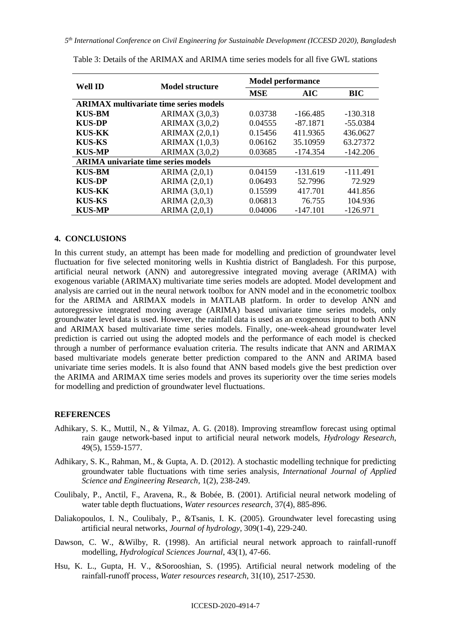| Well ID                                       | <b>Model structure</b> |            | <b>Model performance</b> |            |  |  |  |
|-----------------------------------------------|------------------------|------------|--------------------------|------------|--|--|--|
|                                               |                        | <b>MSE</b> | <b>AIC</b>               | <b>BIC</b> |  |  |  |
| <b>ARIMAX</b> multivariate time series models |                        |            |                          |            |  |  |  |
| <b>KUS-BM</b>                                 | ARIMAX $(3,0,3)$       | 0.03738    | $-166.485$               | $-130.318$ |  |  |  |
| <b>KUS-DP</b>                                 | ARIMAX $(3,0,2)$       | 0.04555    | $-87.1871$               | $-55.0384$ |  |  |  |
| <b>KUS-KK</b>                                 | ARIMAX $(2,0,1)$       | 0.15456    | 411.9365                 | 436.0627   |  |  |  |
| <b>KUS-KS</b>                                 | ARIMAX(1,0,3)          | 0.06162    | 35.10959                 | 63.27372   |  |  |  |
| <b>KUS-MP</b>                                 | ARIMAX $(3,0,2)$       | 0.03685    | $-174.354$               | $-142.206$ |  |  |  |
| <b>ARIMA</b> univariate time series models    |                        |            |                          |            |  |  |  |
| <b>KUS-BM</b>                                 | ARIMA $(2,0,1)$        | 0.04159    | $-131.619$               | $-111.491$ |  |  |  |
| <b>KUS-DP</b>                                 | ARIMA $(2,0,1)$        | 0.06493    | 52.7996                  | 72.929     |  |  |  |
| <b>KUS-KK</b>                                 | ARIMA $(3,0,1)$        | 0.15599    | 417.701                  | 441.856    |  |  |  |
| <b>KUS-KS</b>                                 | ARIMA (2,0,3)          | 0.06813    | 76.755                   | 104.936    |  |  |  |
| <b>KUS-MP</b>                                 | ARIMA $(2,0,1)$        | 0.04006    | $-147.101$               | $-126.971$ |  |  |  |

### **4. CONCLUSIONS**

In this current study, an attempt has been made for modelling and prediction of groundwater level fluctuation for five selected monitoring wells in Kushtia district of Bangladesh. For this purpose, artificial neural network (ANN) and autoregressive integrated moving average (ARIMA) with exogenous variable (ARIMAX) multivariate time series models are adopted. Model development and analysis are carried out in the neural network toolbox for ANN model and in the econometric toolbox for the ARIMA and ARIMAX models in MATLAB platform. In order to develop ANN and autoregressive integrated moving average (ARIMA) based univariate time series models, only groundwater level data is used. However, the rainfall data is used as an exogenous input to both ANN and ARIMAX based multivariate time series models. Finally, one-week-ahead groundwater level prediction is carried out using the adopted models and the performance of each model is checked through a number of performance evaluation criteria. The results indicate that ANN and ARIMAX based multivariate models generate better prediction compared to the ANN and ARIMA based univariate time series models. It is also found that ANN based models give the best prediction over the ARIMA and ARIMAX time series models and proves its superiority over the time series models for modelling and prediction of groundwater level fluctuations.

### **REFERENCES**

- Adhikary, S. K., Muttil, N., & Yilmaz, A. G. (2018). Improving streamflow forecast using optimal rain gauge network-based input to artificial neural network models, *Hydrology Research*, 49(5), 1559-1577.
- Adhikary, S. K., Rahman, M., & Gupta, A. D. (2012). A stochastic modelling technique for predicting groundwater table fluctuations with time series analysis, *International Journal of Applied Science and Engineering Research*, 1(2), 238-249.
- Coulibaly, P., Anctil, F., Aravena, R., & Bobée, B. (2001). Artificial neural network modeling of water table depth fluctuations, *Water resources research*, 37(4), 885-896.
- Daliakopoulos, I. N., Coulibaly, P., &Tsanis, I. K. (2005). Groundwater level forecasting using artificial neural networks, *Journal of hydrology*, 309(1-4), 229-240.
- Dawson, C. W., &Wilby, R. (1998). An artificial neural network approach to rainfall-runoff modelling, *Hydrological Sciences Journal*, 43(1), 47-66.
- Hsu, K. L., Gupta, H. V., &Sorooshian, S. (1995). Artificial neural network modeling of the rainfall‐runoff process, *Water resources research*, 31(10), 2517-2530.